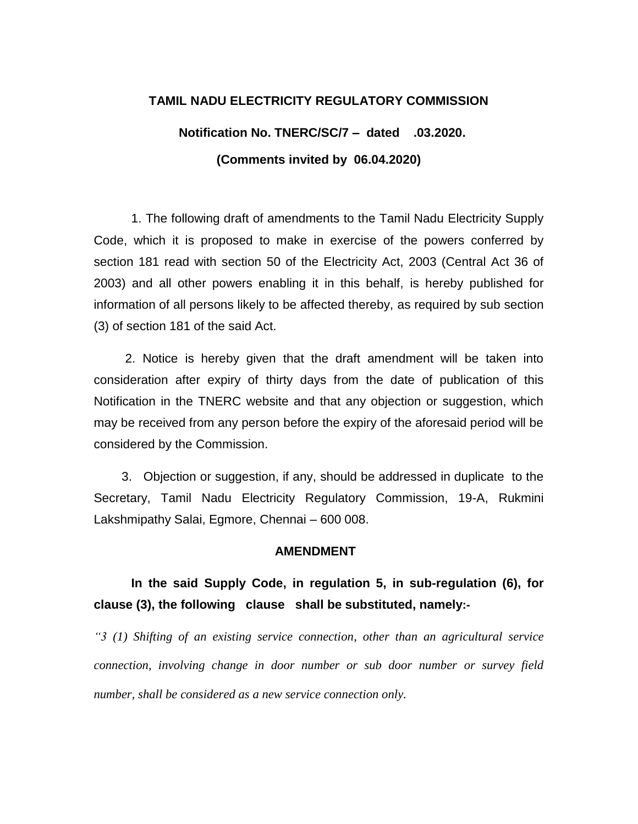#### **TAMIL NADU ELECTRICITY REGULATORY COMMISSION**

# **Notification No. TNERC/SC/7 – dated .03.2020. (Comments invited by 06.04.2020)**

1. The following draft of amendments to the Tamil Nadu Electricity Supply Code, which it is proposed to make in exercise of the powers conferred by section 181 read with section 50 of the Electricity Act, 2003 (Central Act 36 of 2003) and all other powers enabling it in this behalf, is hereby published for information of all persons likely to be affected thereby, as required by sub section (3) of section 181 of the said Act.

 2. Notice is hereby given that the draft amendment will be taken into consideration after expiry of thirty days from the date of publication of this Notification in the TNERC website and that any objection or suggestion, which may be received from any person before the expiry of the aforesaid period will be considered by the Commission.

 3. Objection or suggestion, if any, should be addressed in duplicate to the Secretary, Tamil Nadu Electricity Regulatory Commission, 19-A, Rukmini Lakshmipathy Salai, Egmore, Chennai – 600 008.

#### **AMENDMENT**

# **In the said Supply Code, in regulation 5, in sub-regulation (6), for clause (3), the following clause shall be substituted, namely:-**

*"3 (1) Shifting of an existing service connection, other than an agricultural service connection, involving change in door number or sub door number or survey field number, shall be considered as a new service connection only.*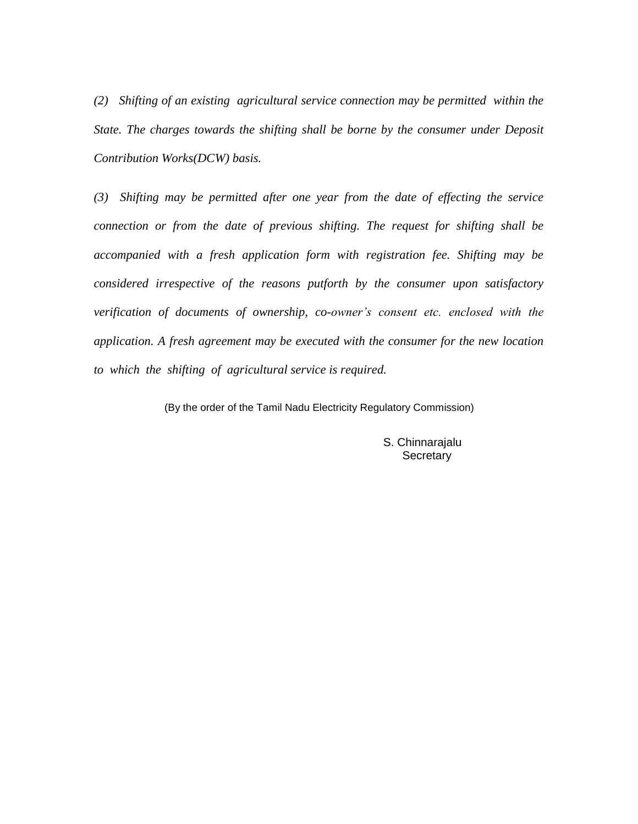*(2) Shifting of an existing agricultural service connection may be permitted within the State. The charges towards the shifting shall be borne by the consumer under Deposit Contribution Works(DCW) basis.* 

*(3) Shifting may be permitted after one year from the date of effecting the service connection or from the date of previous shifting. The request for shifting shall be accompanied with a fresh application form with registration fee. Shifting may be considered irrespective of the reasons putforth by the consumer upon satisfactory verification of documents of ownership, co-owner's consent etc. enclosed with the application. A fresh agreement may be executed with the consumer for the new location to which the shifting of agricultural service is required.* 

(By the order of the Tamil Nadu Electricity Regulatory Commission)

 S. Chinnarajalu **Secretary**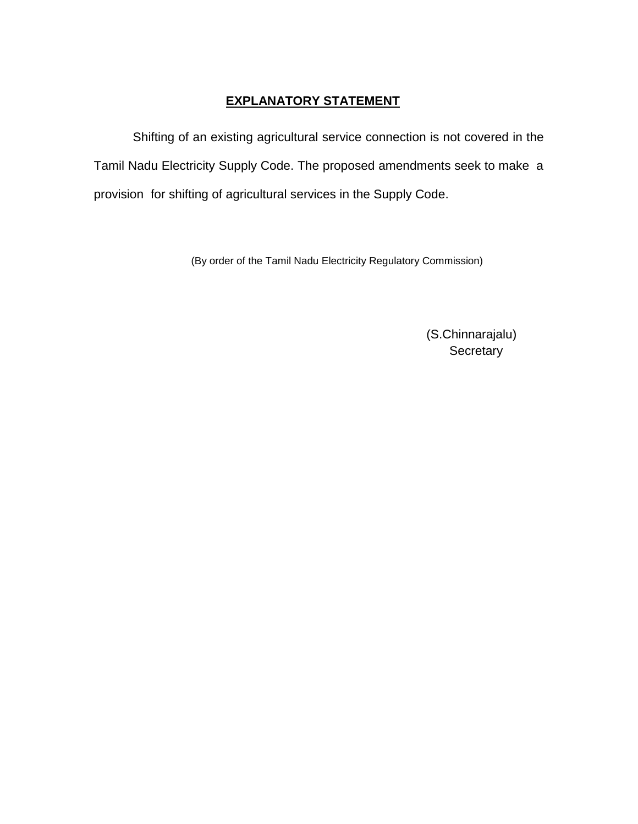### **EXPLANATORY STATEMENT**

 Shifting of an existing agricultural service connection is not covered in the Tamil Nadu Electricity Supply Code. The proposed amendments seek to make a provision for shifting of agricultural services in the Supply Code.

(By order of the Tamil Nadu Electricity Regulatory Commission)

 (S.Chinnarajalu) **Secretary**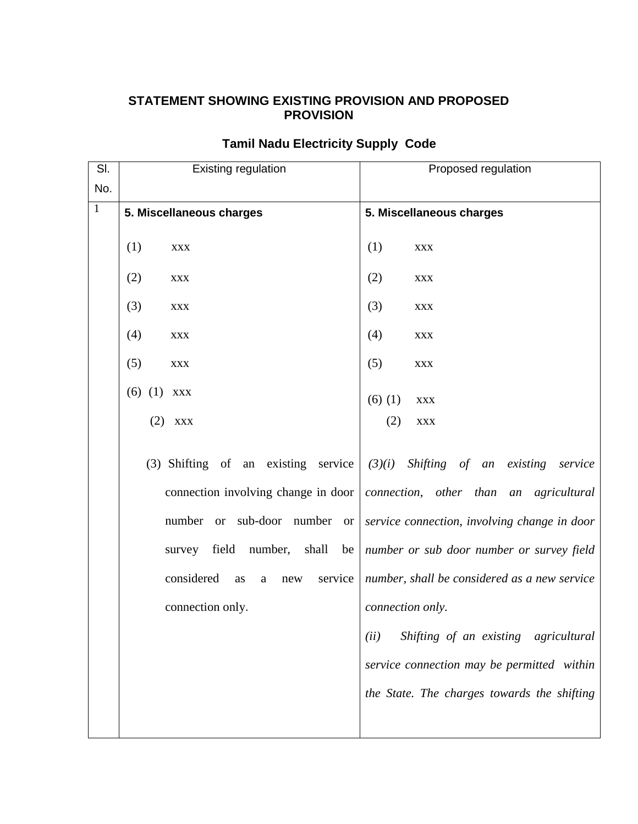### **STATEMENT SHOWING EXISTING PROVISION AND PROPOSED PROVISION**

| SI.          | <b>Existing regulation</b>                                                                                                                                            | Proposed regulation                                                                                                                                                                |
|--------------|-----------------------------------------------------------------------------------------------------------------------------------------------------------------------|------------------------------------------------------------------------------------------------------------------------------------------------------------------------------------|
| No.          |                                                                                                                                                                       |                                                                                                                                                                                    |
| $\mathbf{1}$ | 5. Miscellaneous charges                                                                                                                                              | 5. Miscellaneous charges                                                                                                                                                           |
|              | (1)<br><b>XXX</b>                                                                                                                                                     | (1)<br><b>XXX</b>                                                                                                                                                                  |
|              | (2)<br><b>XXX</b>                                                                                                                                                     | (2)<br><b>XXX</b>                                                                                                                                                                  |
|              | (3)<br><b>XXX</b>                                                                                                                                                     | (3)<br><b>XXX</b>                                                                                                                                                                  |
|              | (4)<br><b>XXX</b>                                                                                                                                                     | (4)<br>$\mathbf{XXX}$                                                                                                                                                              |
|              | (5)<br>$\mathbf{XXX}$                                                                                                                                                 | (5)<br>$\mathbf{XXX}$                                                                                                                                                              |
|              | $(6)$ $(1)$ xxx                                                                                                                                                       | $(6)$ (1)<br><b>XXX</b>                                                                                                                                                            |
|              | $(2)$ xxx                                                                                                                                                             | (2)<br>$\mathbf{XXX}$                                                                                                                                                              |
|              | (3) Shifting of an existing service<br>connection involving change in door<br>or sub-door number<br>number<br><sub>or</sub><br>survey field<br>number,<br>shall<br>be | $(3)(i)$ Shifting of an existing<br>service<br>connection, other than an agricultural<br>service connection, involving change in door<br>number or sub door number or survey field |
|              | considered<br>service<br>as<br>a<br>new                                                                                                                               | number, shall be considered as a new service                                                                                                                                       |
|              | connection only.                                                                                                                                                      | connection only.                                                                                                                                                                   |
|              |                                                                                                                                                                       | Shifting of an existing agricultural<br>(ii)                                                                                                                                       |
|              |                                                                                                                                                                       | service connection may be permitted within                                                                                                                                         |
|              |                                                                                                                                                                       | the State. The charges towards the shifting                                                                                                                                        |
|              |                                                                                                                                                                       |                                                                                                                                                                                    |

## **Tamil Nadu Electricity Supply Code**